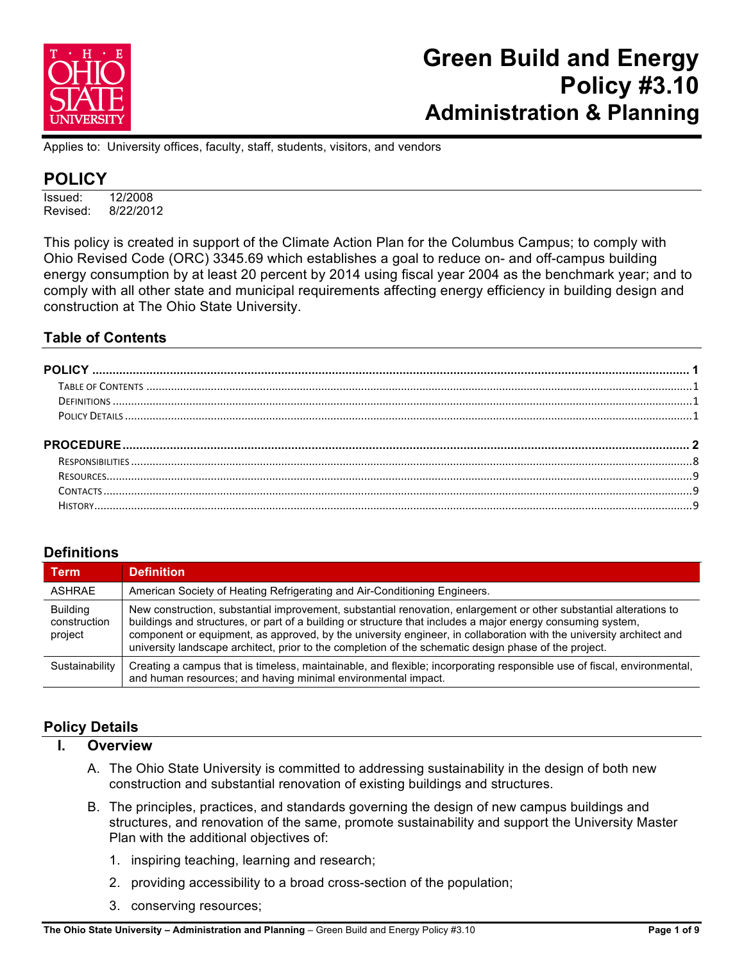

Applies to: University offices, faculty, staff, students, visitors, and vendors

## **POLICY**

Issued: 12/2008 Revised: 8/22/2012

This policy is created in support of the Climate Action Plan for the Columbus Campus; to comply with Ohio Revised Code (ORC) 3345.69 which establishes a goal to reduce on- and off-campus building energy consumption by at least 20 percent by 2014 using fiscal year 2004 as the benchmark year; and to comply with all other state and municipal requirements affecting energy efficiency in building design and construction at The Ohio State University.

### **Table of Contents**

| <b>PROCEDURE.</b> |
|-------------------|
|                   |
|                   |
|                   |

## **Definitions**

| <b>Term</b>                                | <b>Definition</b>                                                                                                                                                                                                                                                                                                                                                                                                                                                 |
|--------------------------------------------|-------------------------------------------------------------------------------------------------------------------------------------------------------------------------------------------------------------------------------------------------------------------------------------------------------------------------------------------------------------------------------------------------------------------------------------------------------------------|
| ASHRAE                                     | American Society of Heating Refrigerating and Air-Conditioning Engineers.                                                                                                                                                                                                                                                                                                                                                                                         |
| <b>Building</b><br>construction<br>project | New construction, substantial improvement, substantial renovation, enlargement or other substantial alterations to<br>buildings and structures, or part of a building or structure that includes a major energy consuming system,<br>component or equipment, as approved, by the university engineer, in collaboration with the university architect and<br>university landscape architect, prior to the completion of the schematic design phase of the project. |
| Sustainability                             | Creating a campus that is timeless, maintainable, and flexible; incorporating responsible use of fiscal, environmental,<br>and human resources; and having minimal environmental impact.                                                                                                                                                                                                                                                                          |

## **Policy Details**

- **I. Overview**
	- A. The Ohio State University is committed to addressing sustainability in the design of both new construction and substantial renovation of existing buildings and structures.
	- B. The principles, practices, and standards governing the design of new campus buildings and structures, and renovation of the same, promote sustainability and support the University Master Plan with the additional objectives of:
		- 1. inspiring teaching, learning and research;
		- 2. providing accessibility to a broad cross-section of the population;
		- 3. conserving resources;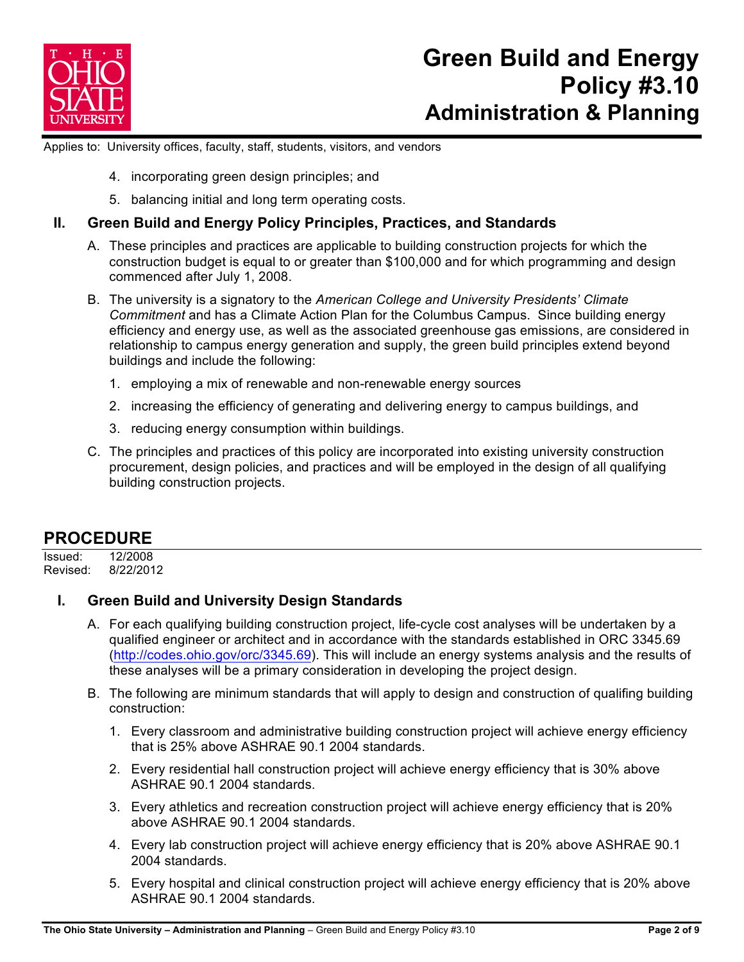

Applies to: University offices, faculty, staff, students, visitors, and vendors

- 4. incorporating green design principles; and
- 5. balancing initial and long term operating costs.

### **II. Green Build and Energy Policy Principles, Practices, and Standards**

- A. These principles and practices are applicable to building construction projects for which the construction budget is equal to or greater than \$100,000 and for which programming and design commenced after July 1, 2008.
- B. The university is a signatory to the *American College and University Presidents' Climate Commitment* and has a Climate Action Plan for the Columbus Campus. Since building energy efficiency and energy use, as well as the associated greenhouse gas emissions, are considered in relationship to campus energy generation and supply, the green build principles extend beyond buildings and include the following:
	- 1. employing a mix of renewable and non-renewable energy sources
	- 2. increasing the efficiency of generating and delivering energy to campus buildings, and
	- 3. reducing energy consumption within buildings.
- C. The principles and practices of this policy are incorporated into existing university construction procurement, design policies, and practices and will be employed in the design of all qualifying building construction projects.

## **PROCEDURE**

Issued: 12/2008 Revised: 8/22/2012

## **I. Green Build and University Design Standards**

- A. For each qualifying building construction project, life-cycle cost analyses will be undertaken by a qualified engineer or architect and in accordance with the standards established in ORC 3345.69 (http://codes.ohio.gov/orc/3345.69). This will include an energy systems analysis and the results of these analyses will be a primary consideration in developing the project design.
- B. The following are minimum standards that will apply to design and construction of qualifing building construction:
	- 1. Every classroom and administrative building construction project will achieve energy efficiency that is 25% above ASHRAE 90.1 2004 standards.
	- 2. Every residential hall construction project will achieve energy efficiency that is 30% above ASHRAE 90.1 2004 standards.
	- 3. Every athletics and recreation construction project will achieve energy efficiency that is 20% above ASHRAE 90.1 2004 standards.
	- 4. Every lab construction project will achieve energy efficiency that is 20% above ASHRAE 90.1 2004 standards.
	- 5. Every hospital and clinical construction project will achieve energy efficiency that is 20% above ASHRAE 90.1 2004 standards.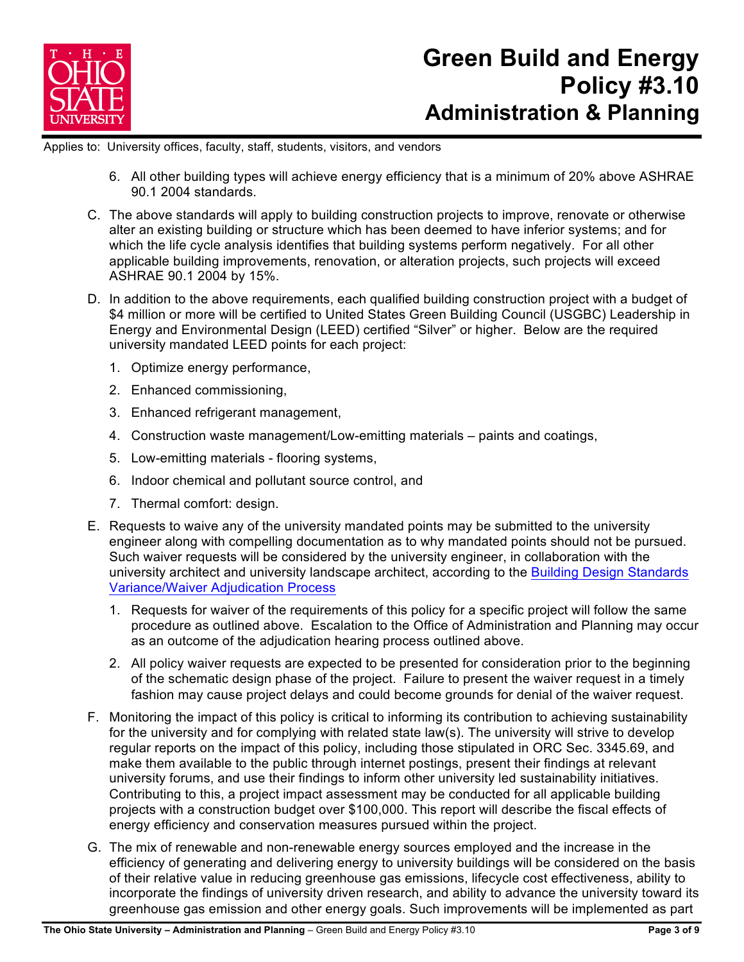

Applies to: University offices, faculty, staff, students, visitors, and vendors

- 6. All other building types will achieve energy efficiency that is a minimum of 20% above ASHRAE 90.1 2004 standards.
- C. The above standards will apply to building construction projects to improve, renovate or otherwise alter an existing building or structure which has been deemed to have inferior systems; and for which the life cycle analysis identifies that building systems perform negatively. For all other applicable building improvements, renovation, or alteration projects, such projects will exceed ASHRAE 90.1 2004 by 15%.
- D. In addition to the above requirements, each qualified building construction project with a budget of \$4 million or more will be certified to United States Green Building Council (USGBC) Leadership in Energy and Environmental Design (LEED) certified "Silver" or higher. Below are the required university mandated LEED points for each project:
	- 1. Optimize energy performance,
	- 2. Enhanced commissioning,
	- 3. Enhanced refrigerant management,
	- 4. Construction waste management/Low-emitting materials paints and coatings,
	- 5. Low-emitting materials flooring systems,
	- 6. Indoor chemical and pollutant source control, and
	- 7. Thermal comfort: design.
- E. Requests to waive any of the university mandated points may be submitted to the university engineer along with compelling documentation as to why mandated points should not be pursued. Such waiver requests will be considered by the university engineer, in collaboration with the university architect and university landscape architect, according to the Building Design Standards Variance/Waiver Adjudication Process
	- 1. Requests for waiver of the requirements of this policy for a specific project will follow the same procedure as outlined above. Escalation to the Office of Administration and Planning may occur as an outcome of the adjudication hearing process outlined above.
	- 2. All policy waiver requests are expected to be presented for consideration prior to the beginning of the schematic design phase of the project. Failure to present the waiver request in a timely fashion may cause project delays and could become grounds for denial of the waiver request.
- F. Monitoring the impact of this policy is critical to informing its contribution to achieving sustainability for the university and for complying with related state law(s). The university will strive to develop regular reports on the impact of this policy, including those stipulated in ORC Sec. 3345.69, and make them available to the public through internet postings, present their findings at relevant university forums, and use their findings to inform other university led sustainability initiatives. Contributing to this, a project impact assessment may be conducted for all applicable building projects with a construction budget over \$100,000. This report will describe the fiscal effects of energy efficiency and conservation measures pursued within the project.
- G. The mix of renewable and non-renewable energy sources employed and the increase in the efficiency of generating and delivering energy to university buildings will be considered on the basis of their relative value in reducing greenhouse gas emissions, lifecycle cost effectiveness, ability to incorporate the findings of university driven research, and ability to advance the university toward its greenhouse gas emission and other energy goals. Such improvements will be implemented as part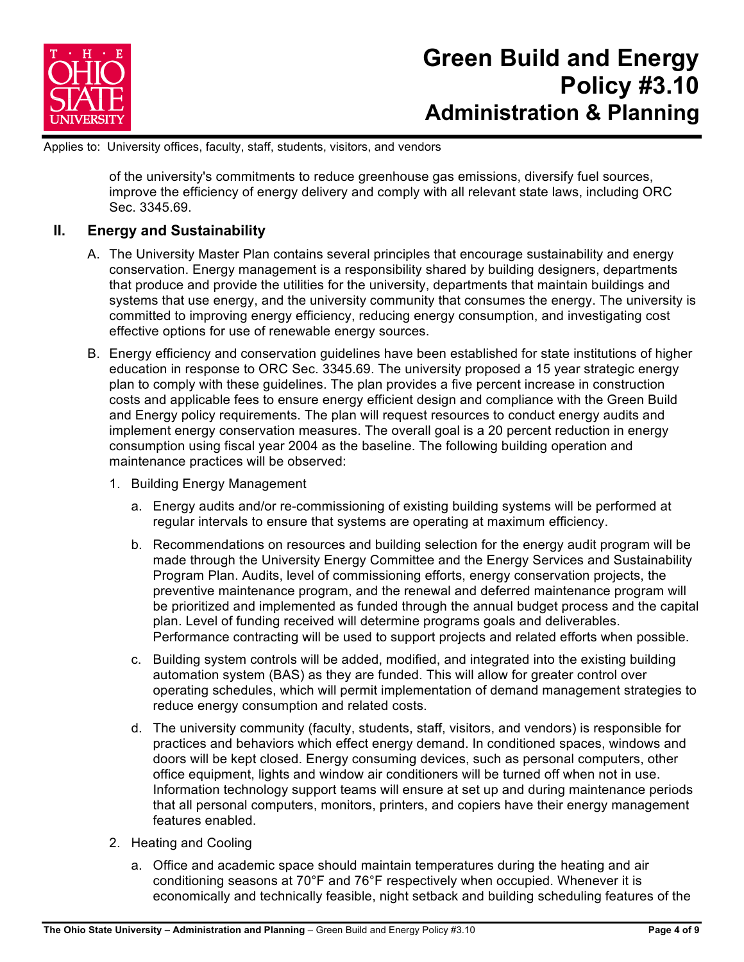

Applies to: University offices, faculty, staff, students, visitors, and vendors

of the university's commitments to reduce greenhouse gas emissions, diversify fuel sources, improve the efficiency of energy delivery and comply with all relevant state laws, including ORC Sec. 3345.69.

### **II. Energy and Sustainability**

- A. The University Master Plan contains several principles that encourage sustainability and energy conservation. Energy management is a responsibility shared by building designers, departments that produce and provide the utilities for the university, departments that maintain buildings and systems that use energy, and the university community that consumes the energy. The university is committed to improving energy efficiency, reducing energy consumption, and investigating cost effective options for use of renewable energy sources.
- B. Energy efficiency and conservation guidelines have been established for state institutions of higher education in response to ORC Sec. 3345.69. The university proposed a 15 year strategic energy plan to comply with these guidelines. The plan provides a five percent increase in construction costs and applicable fees to ensure energy efficient design and compliance with the Green Build and Energy policy requirements. The plan will request resources to conduct energy audits and implement energy conservation measures. The overall goal is a 20 percent reduction in energy consumption using fiscal year 2004 as the baseline. The following building operation and maintenance practices will be observed:
	- 1. Building Energy Management
		- a. Energy audits and/or re-commissioning of existing building systems will be performed at regular intervals to ensure that systems are operating at maximum efficiency.
		- b. Recommendations on resources and building selection for the energy audit program will be made through the University Energy Committee and the Energy Services and Sustainability Program Plan. Audits, level of commissioning efforts, energy conservation projects, the preventive maintenance program, and the renewal and deferred maintenance program will be prioritized and implemented as funded through the annual budget process and the capital plan. Level of funding received will determine programs goals and deliverables. Performance contracting will be used to support projects and related efforts when possible.
		- c. Building system controls will be added, modified, and integrated into the existing building automation system (BAS) as they are funded. This will allow for greater control over operating schedules, which will permit implementation of demand management strategies to reduce energy consumption and related costs.
		- d. The university community (faculty, students, staff, visitors, and vendors) is responsible for practices and behaviors which effect energy demand. In conditioned spaces, windows and doors will be kept closed. Energy consuming devices, such as personal computers, other office equipment, lights and window air conditioners will be turned off when not in use. Information technology support teams will ensure at set up and during maintenance periods that all personal computers, monitors, printers, and copiers have their energy management features enabled.
	- 2. Heating and Cooling
		- a. Office and academic space should maintain temperatures during the heating and air conditioning seasons at 70°F and 76°F respectively when occupied. Whenever it is economically and technically feasible, night setback and building scheduling features of the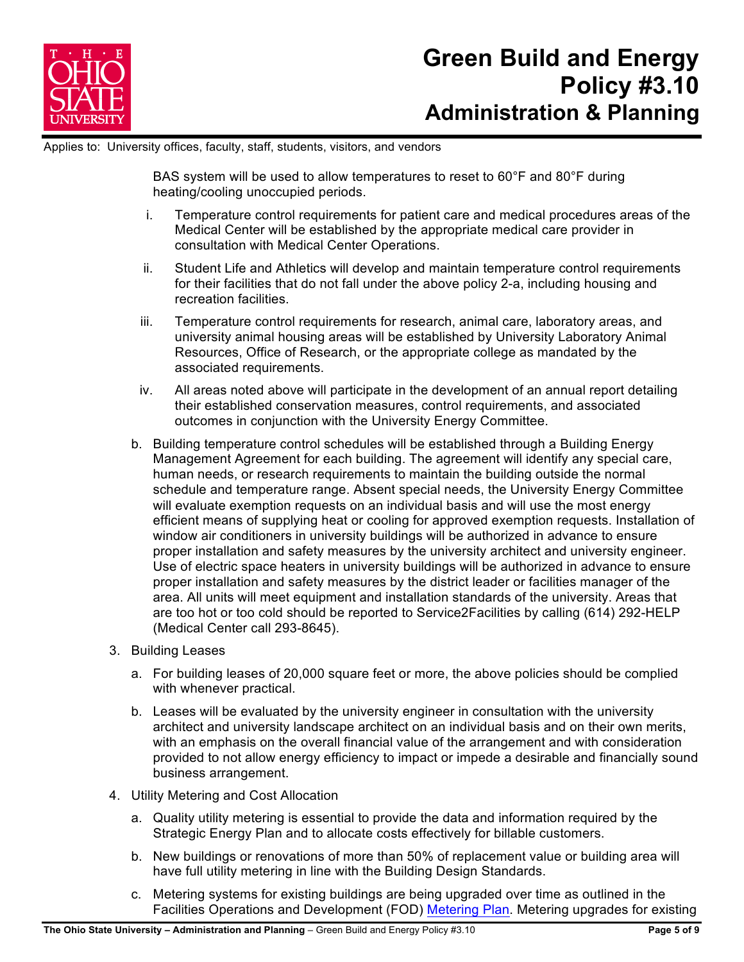

Applies to: University offices, faculty, staff, students, visitors, and vendors

BAS system will be used to allow temperatures to reset to 60°F and 80°F during heating/cooling unoccupied periods.

- i. Temperature control requirements for patient care and medical procedures areas of the Medical Center will be established by the appropriate medical care provider in consultation with Medical Center Operations.
- ii. Student Life and Athletics will develop and maintain temperature control requirements for their facilities that do not fall under the above policy 2-a, including housing and recreation facilities.
- iii. Temperature control requirements for research, animal care, laboratory areas, and university animal housing areas will be established by University Laboratory Animal Resources, Office of Research, or the appropriate college as mandated by the associated requirements.
- iv. All areas noted above will participate in the development of an annual report detailing their established conservation measures, control requirements, and associated outcomes in conjunction with the University Energy Committee.
- b. Building temperature control schedules will be established through a Building Energy Management Agreement for each building. The agreement will identify any special care, human needs, or research requirements to maintain the building outside the normal schedule and temperature range. Absent special needs, the University Energy Committee will evaluate exemption requests on an individual basis and will use the most energy efficient means of supplying heat or cooling for approved exemption requests. Installation of window air conditioners in university buildings will be authorized in advance to ensure proper installation and safety measures by the university architect and university engineer. Use of electric space heaters in university buildings will be authorized in advance to ensure proper installation and safety measures by the district leader or facilities manager of the area. All units will meet equipment and installation standards of the university. Areas that are too hot or too cold should be reported to Service2Facilities by calling (614) 292-HELP (Medical Center call 293-8645).
- 3. Building Leases
	- a. For building leases of 20,000 square feet or more, the above policies should be complied with whenever practical.
	- b. Leases will be evaluated by the university engineer in consultation with the university architect and university landscape architect on an individual basis and on their own merits, with an emphasis on the overall financial value of the arrangement and with consideration provided to not allow energy efficiency to impact or impede a desirable and financially sound business arrangement.
- 4. Utility Metering and Cost Allocation
	- a. Quality utility metering is essential to provide the data and information required by the Strategic Energy Plan and to allocate costs effectively for billable customers.
	- b. New buildings or renovations of more than 50% of replacement value or building area will have full utility metering in line with the Building Design Standards.
	- c. Metering systems for existing buildings are being upgraded over time as outlined in the Facilities Operations and Development (FOD) Metering Plan. Metering upgrades for existing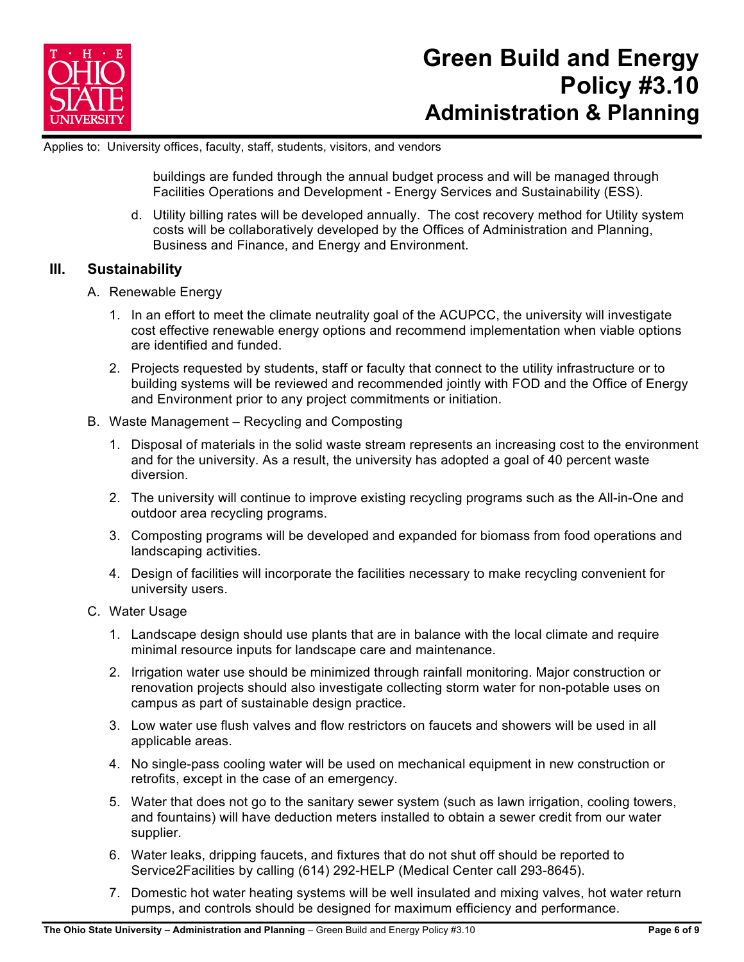

Applies to: University offices, faculty, staff, students, visitors, and vendors

buildings are funded through the annual budget process and will be managed through Facilities Operations and Development - Energy Services and Sustainability (ESS).

d. Utility billing rates will be developed annually. The cost recovery method for Utility system costs will be collaboratively developed by the Offices of Administration and Planning, Business and Finance, and Energy and Environment.

### **III. Sustainability**

- A. Renewable Energy
	- 1. In an effort to meet the climate neutrality goal of the ACUPCC, the university will investigate cost effective renewable energy options and recommend implementation when viable options are identified and funded.
	- 2. Projects requested by students, staff or faculty that connect to the utility infrastructure or to building systems will be reviewed and recommended jointly with FOD and the Office of Energy and Environment prior to any project commitments or initiation.
- B. Waste Management Recycling and Composting
	- 1. Disposal of materials in the solid waste stream represents an increasing cost to the environment and for the university. As a result, the university has adopted a goal of 40 percent waste diversion.
	- 2. The university will continue to improve existing recycling programs such as the All-in-One and outdoor area recycling programs.
	- 3. Composting programs will be developed and expanded for biomass from food operations and landscaping activities.
	- 4. Design of facilities will incorporate the facilities necessary to make recycling convenient for university users.
- C. Water Usage
	- 1. Landscape design should use plants that are in balance with the local climate and require minimal resource inputs for landscape care and maintenance.
	- 2. Irrigation water use should be minimized through rainfall monitoring. Major construction or renovation projects should also investigate collecting storm water for non-potable uses on campus as part of sustainable design practice.
	- 3. Low water use flush valves and flow restrictors on faucets and showers will be used in all applicable areas.
	- 4. No single-pass cooling water will be used on mechanical equipment in new construction or retrofits, except in the case of an emergency.
	- 5. Water that does not go to the sanitary sewer system (such as lawn irrigation, cooling towers, and fountains) will have deduction meters installed to obtain a sewer credit from our water supplier.
	- 6. Water leaks, dripping faucets, and fixtures that do not shut off should be reported to Service2Facilities by calling (614) 292-HELP (Medical Center call 293-8645).
	- 7. Domestic hot water heating systems will be well insulated and mixing valves, hot water return pumps, and controls should be designed for maximum efficiency and performance.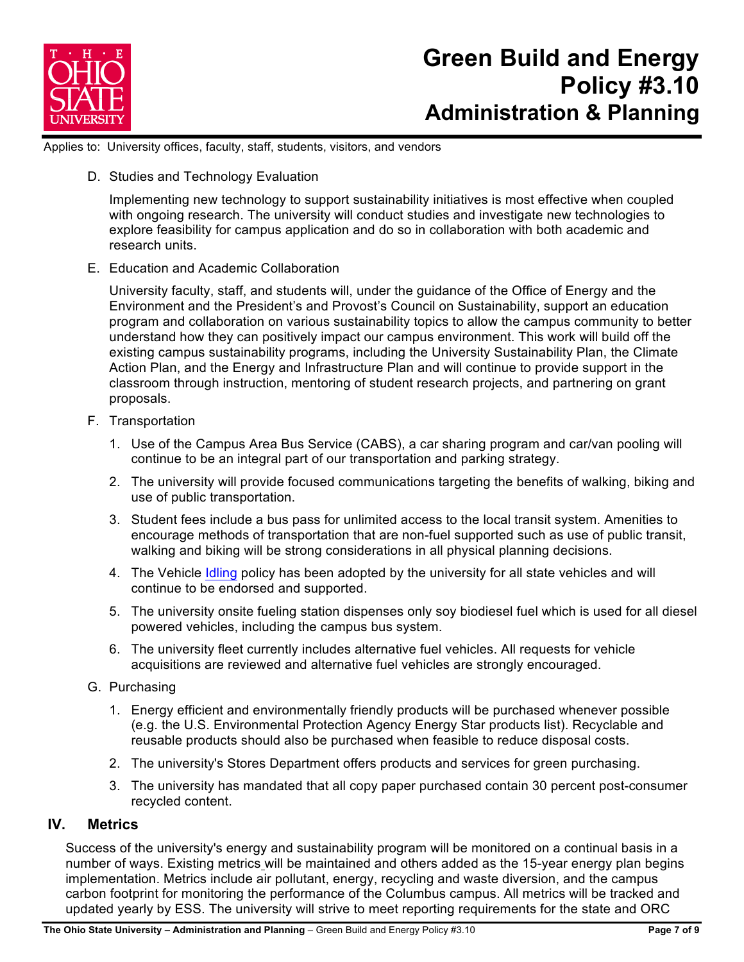

Applies to: University offices, faculty, staff, students, visitors, and vendors

D. Studies and Technology Evaluation

Implementing new technology to support sustainability initiatives is most effective when coupled with ongoing research. The university will conduct studies and investigate new technologies to explore feasibility for campus application and do so in collaboration with both academic and research units.

E. Education and Academic Collaboration

University faculty, staff, and students will, under the guidance of the Office of Energy and the Environment and the President's and Provost's Council on Sustainability, support an education program and collaboration on various sustainability topics to allow the campus community to better understand how they can positively impact our campus environment. This work will build off the existing campus sustainability programs, including the University Sustainability Plan, the Climate Action Plan, and the Energy and Infrastructure Plan and will continue to provide support in the classroom through instruction, mentoring of student research projects, and partnering on grant proposals.

- F. Transportation
	- 1. Use of the Campus Area Bus Service (CABS), a car sharing program and car/van pooling will continue to be an integral part of our transportation and parking strategy.
	- 2. The university will provide focused communications targeting the benefits of walking, biking and use of public transportation.
	- 3. Student fees include a bus pass for unlimited access to the local transit system. Amenities to encourage methods of transportation that are non-fuel supported such as use of public transit, walking and biking will be strong considerations in all physical planning decisions.
	- 4. The Vehicle Idling policy has been adopted by the university for all state vehicles and will continue to be endorsed and supported.
	- 5. The university onsite fueling station dispenses only soy biodiesel fuel which is used for all diesel powered vehicles, including the campus bus system.
	- 6. The university fleet currently includes alternative fuel vehicles. All requests for vehicle acquisitions are reviewed and alternative fuel vehicles are strongly encouraged.
- G. Purchasing
	- 1. Energy efficient and environmentally friendly products will be purchased whenever possible (e.g. the U.S. Environmental Protection Agency Energy Star products list). Recyclable and reusable products should also be purchased when feasible to reduce disposal costs.
	- 2. The university's Stores Department offers products and services for green purchasing.
	- 3. The university has mandated that all copy paper purchased contain 30 percent post-consumer recycled content.

### **IV. Metrics**

Success of the university's energy and sustainability program will be monitored on a continual basis in a number of ways. Existing metrics will be maintained and others added as the 15-year energy plan begins implementation. Metrics include air pollutant, energy, recycling and waste diversion, and the campus carbon footprint for monitoring the performance of the Columbus campus. All metrics will be tracked and updated yearly by ESS. The university will strive to meet reporting requirements for the state and ORC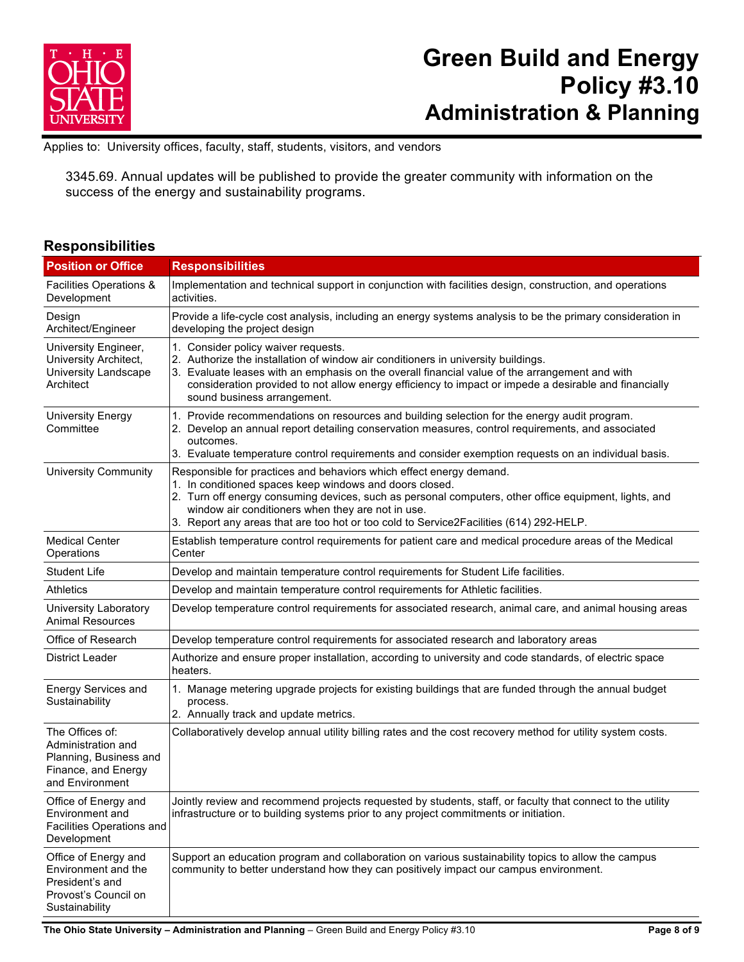

Applies to: University offices, faculty, staff, students, visitors, and vendors

3345.69. Annual updates will be published to provide the greater community with information on the success of the energy and sustainability programs.

### **Responsibilities**

| <b>Position or Office</b>                                                                                 | <b>Responsibilities</b>                                                                                                                                                                                                                                                                                                                                                                |  |  |  |
|-----------------------------------------------------------------------------------------------------------|----------------------------------------------------------------------------------------------------------------------------------------------------------------------------------------------------------------------------------------------------------------------------------------------------------------------------------------------------------------------------------------|--|--|--|
| Facilities Operations &<br>Development                                                                    | Implementation and technical support in conjunction with facilities design, construction, and operations<br>activities.                                                                                                                                                                                                                                                                |  |  |  |
| Design<br>Architect/Engineer                                                                              | Provide a life-cycle cost analysis, including an energy systems analysis to be the primary consideration in<br>developing the project design                                                                                                                                                                                                                                           |  |  |  |
| University Engineer,<br>University Architect,<br>University Landscape<br>Architect                        | 1. Consider policy waiver requests.<br>2. Authorize the installation of window air conditioners in university buildings.<br>3. Evaluate leases with an emphasis on the overall financial value of the arrangement and with<br>consideration provided to not allow energy efficiency to impact or impede a desirable and financially<br>sound business arrangement.                     |  |  |  |
| University Energy<br>Committee                                                                            | 1. Provide recommendations on resources and building selection for the energy audit program.<br>2. Develop an annual report detailing conservation measures, control requirements, and associated<br>outcomes.<br>3. Evaluate temperature control requirements and consider exemption requests on an individual basis.                                                                 |  |  |  |
| <b>University Community</b>                                                                               | Responsible for practices and behaviors which effect energy demand.<br>1. In conditioned spaces keep windows and doors closed.<br>2. Turn off energy consuming devices, such as personal computers, other office equipment, lights, and<br>window air conditioners when they are not in use.<br>3. Report any areas that are too hot or too cold to Service2Facilities (614) 292-HELP. |  |  |  |
| <b>Medical Center</b><br>Operations                                                                       | Establish temperature control requirements for patient care and medical procedure areas of the Medical<br>Center                                                                                                                                                                                                                                                                       |  |  |  |
| <b>Student Life</b>                                                                                       | Develop and maintain temperature control requirements for Student Life facilities.                                                                                                                                                                                                                                                                                                     |  |  |  |
| <b>Athletics</b>                                                                                          | Develop and maintain temperature control requirements for Athletic facilities.                                                                                                                                                                                                                                                                                                         |  |  |  |
| University Laboratory<br><b>Animal Resources</b>                                                          | Develop temperature control requirements for associated research, animal care, and animal housing areas                                                                                                                                                                                                                                                                                |  |  |  |
| Office of Research                                                                                        | Develop temperature control requirements for associated research and laboratory areas                                                                                                                                                                                                                                                                                                  |  |  |  |
| <b>District Leader</b>                                                                                    | Authorize and ensure proper installation, according to university and code standards, of electric space<br>heaters.                                                                                                                                                                                                                                                                    |  |  |  |
| <b>Energy Services and</b><br>Sustainability                                                              | 1. Manage metering upgrade projects for existing buildings that are funded through the annual budget<br>process.<br>2. Annually track and update metrics.                                                                                                                                                                                                                              |  |  |  |
| The Offices of:<br>Administration and<br>Planning, Business and<br>Finance, and Energy<br>and Environment | Collaboratively develop annual utility billing rates and the cost recovery method for utility system costs.                                                                                                                                                                                                                                                                            |  |  |  |
| Office of Energy and<br>Environment and<br>Facilities Operations and<br>Development                       | Jointly review and recommend projects requested by students, staff, or faculty that connect to the utility<br>infrastructure or to building systems prior to any project commitments or initiation.                                                                                                                                                                                    |  |  |  |
| Office of Energy and<br>Environment and the<br>President's and<br>Provost's Council on<br>Sustainability  | Support an education program and collaboration on various sustainability topics to allow the campus<br>community to better understand how they can positively impact our campus environment.                                                                                                                                                                                           |  |  |  |